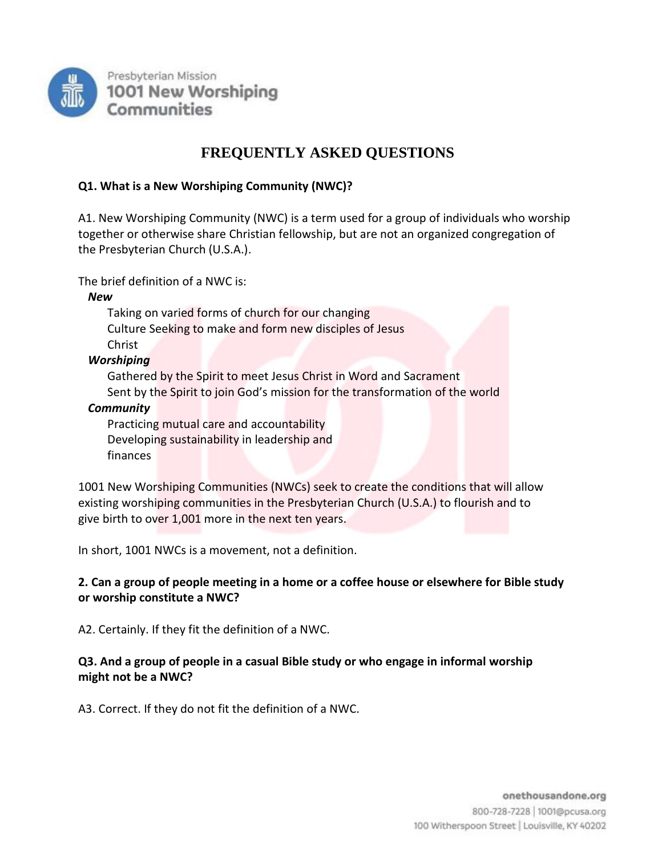

# **FREQUENTLY ASKED QUESTIONS**

### **Q1. What is a New Worshiping Community (NWC)?**

A1. New Worshiping Community (NWC) is a term used for a group of individuals who worship together or otherwise share Christian fellowship, but are not an organized congregation of the Presbyterian Church (U.S.A.).

The brief definition of a NWC is:

*New*

Taking on varied forms of church for our changing Culture Seeking to make and form new disciples of Jesus Christ

*Worshiping*

Gathered by the Spirit to meet Jesus Christ in Word and Sacrament Sent by the Spirit to join God's mission for the transformation of the world

### *Community*

Practicing mutual care and accountability Developing sustainability in leadership and finances

1001 New Worshiping Communities (NWCs) seek to create the conditions that will allow existing worshiping communities in the Presbyterian Church (U.S.A.) to flourish and to give birth to over 1,001 more in the next ten years.

In short, 1001 NWCs is a movement, not a definition.

# **2. Can a group of people meeting in a home or a coffee house or elsewhere for Bible study or worship constitute a NWC?**

A2. Certainly. If they fit the definition of a NWC.

### **Q3. And a group of people in a casual Bible study or who engage in informal worship might not be a NWC?**

A3. Correct. If they do not fit the definition of a NWC.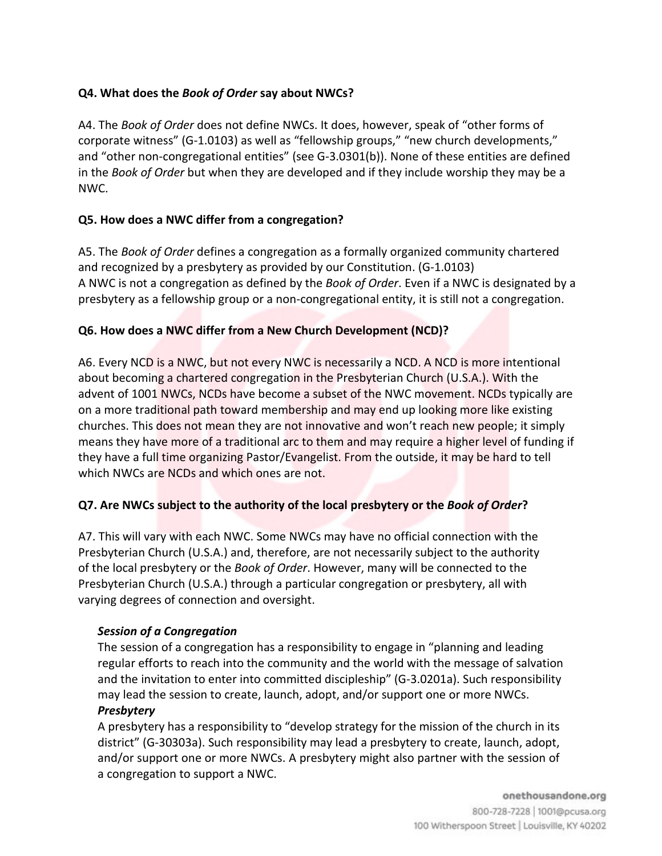# **Q4. What does the** *Book of Order* **say about NWCs?**

A4. The *Book of Order* does not define NWCs. It does, however, speak of "other forms of corporate witness" (G-1.0103) as well as "fellowship groups," "new church developments," and "other non-congregational entities" (see G-3.0301(b)). None of these entities are defined in the *Book of Order* but when they are developed and if they include worship they may be a NWC.

### **Q5. How does a NWC differ from a congregation?**

A5. The *Book of Order* defines a congregation as a formally organized community chartered and recognized by a presbytery as provided by our Constitution. (G-1.0103) A NWC is not a congregation as defined by the *Book of Order*. Even if a NWC is designated by a presbytery as a fellowship group or a non-congregational entity, it is still not a congregation.

### **Q6. How does a NWC differ from a New Church Development (NCD)?**

A6. Every NCD is a NWC, but not every NWC is necessarily a NCD. A NCD is more intentional about becoming a chartered congregation in the Presbyterian Church (U.S.A.). With the advent of 1001 NWCs, NCDs have become a subset of the NWC movement. NCDs typically are on a more traditional path toward membership and may end up looking more like existing churches. This does not mean they are not innovative and won't reach new people; it simply means they have more of a traditional arc to them and may require a higher level of funding if they have a full time organizing Pastor/Evangelist. From the outside, it may be hard to tell which NWCs are NCDs and which ones are not.

### **Q7. Are NWCs subject to the authority of the local presbytery or the** *Book of Order***?**

A7. This will vary with each NWC. Some NWCs may have no official connection with the Presbyterian Church (U.S.A.) and, therefore, are not necessarily subject to the authority of the local presbytery or the *Book of Order*. However, many will be connected to the Presbyterian Church (U.S.A.) through a particular congregation or presbytery, all with varying degrees of connection and oversight.

### *Session of a Congregation*

The session of a congregation has a responsibility to engage in "planning and leading regular efforts to reach into the community and the world with the message of salvation and the invitation to enter into committed discipleship" (G-3.0201a). Such responsibility may lead the session to create, launch, adopt, and/or support one or more NWCs. *Presbytery*

# A presbytery has a responsibility to "develop strategy for the mission of the church in its district" (G-30303a). Such responsibility may lead a presbytery to create, launch, adopt, and/or support one or more NWCs. A presbytery might also partner with the session of a congregation to support a NWC.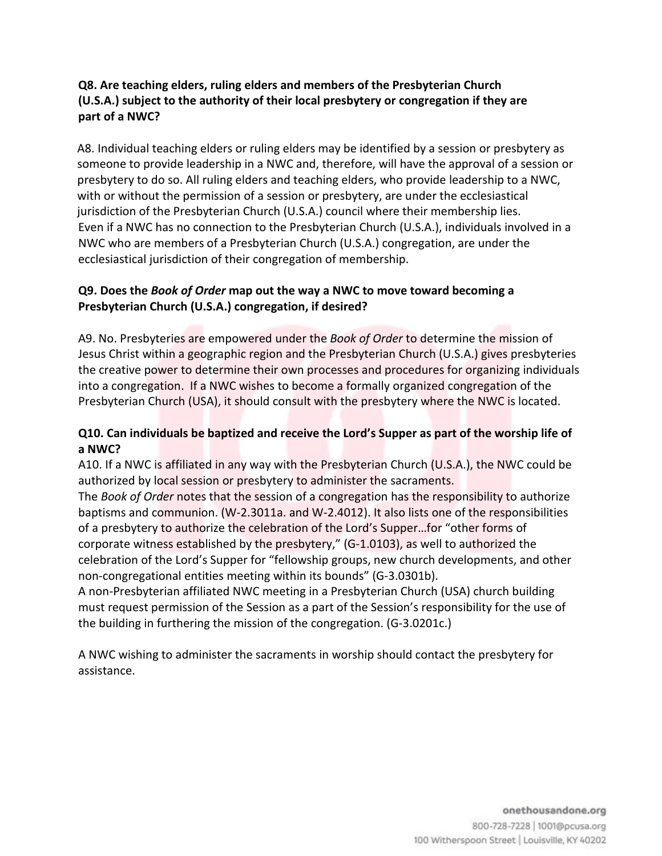# **Q8. Are teaching elders, ruling elders and members of the Presbyterian Church (U.S.A.) subject to the authority of their local presbytery or congregation if they are part of a NWC?**

A8. Individual teaching elders or ruling elders may be identified by a session or presbytery as someone to provide leadership in a NWC and, therefore, will have the approval of a session or presbytery to do so. All ruling elders and teaching elders, who provide leadership to a NWC, with or without the permission of a session or presbytery, are under the ecclesiastical jurisdiction of the Presbyterian Church (U.S.A.) council where their membership lies. Even if a NWC has no connection to the Presbyterian Church (U.S.A.), individuals involved in a NWC who are members of a Presbyterian Church (U.S.A.) congregation, are under the ecclesiastical jurisdiction of their congregation of membership.

# **Q9. Does the** *Book of Order* **map out the way a NWC to move toward becoming a Presbyterian Church (U.S.A.) congregation, if desired?**

A9. No. Presbyteries are empowered under the *Book of Order* to determine the mission of Jesus Christ within a geographic region and the Presbyterian Church (U.S.A.) gives presbyteries the creative power to determine their own processes and procedures for organizing individuals into a congregation. If a NWC wishes to become a formally organized congregation of the Presbyterian Church (USA), it should consult with the presbytery where the NWC is located.

# **Q10. Can individuals be baptized and receive the Lord's Supper as part of the worship life of a NWC?**

A10. If a NWC is affiliated in any way with the Presbyterian Church (U.S.A.), the NWC could be authorized by local session or presbytery to administer the sacraments.

The *Book of Order* notes that the session of a congregation has the responsibility to authorize baptisms and communion. (W-2.3011a. and W-2.4012). It also lists one of the responsibilities of a presbytery to authorize the celebration of the Lord's Supper…for "other forms of corporate witness established by the presbytery," (G-1.0103), as well to authorized the celebration of the Lord's Supper for "fellowship groups, new church developments, and other non-congregational entities meeting within its bounds" (G-3.0301b).

A non-Presbyterian affiliated NWC meeting in a Presbyterian Church (USA) church building must request permission of the Session as a part of the Session's responsibility for the use of the building in furthering the mission of the congregation. (G-3.0201c.)

A NWC wishing to administer the sacraments in worship should contact the presbytery for assistance.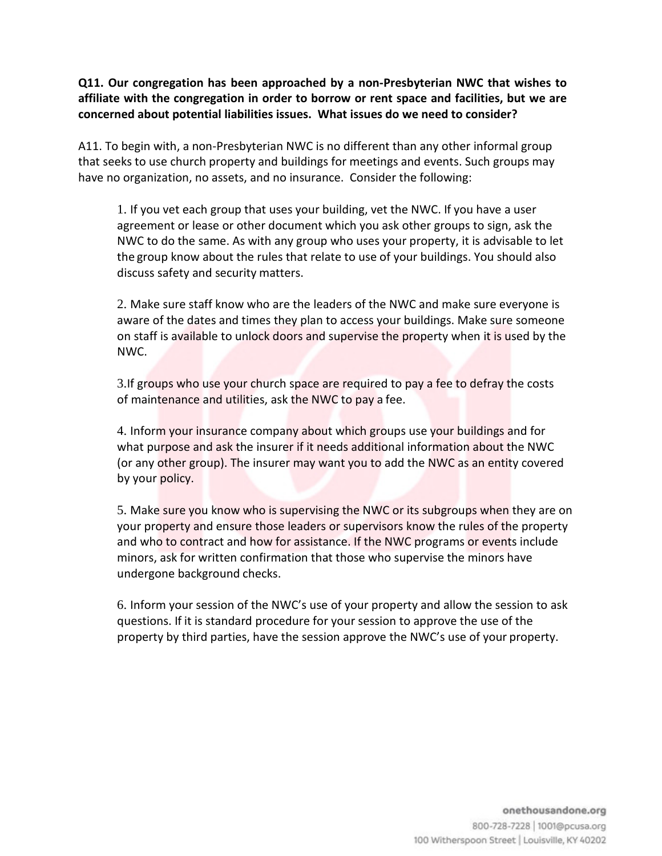**Q11. Our congregation has been approached by a non-Presbyterian NWC that wishes to affiliate with the congregation in order to borrow or rent space and facilities, but we are concerned about potential liabilities issues. What issues do we need to consider?**

A11. To begin with, a non-Presbyterian NWC is no different than any other informal group that seeks to use church property and buildings for meetings and events. Such groups may have no organization, no assets, and no insurance. Consider the following:

1. If you vet each group that uses your building, vet the NWC. If you have a user agreement or lease or other document which you ask other groups to sign, ask the NWC to do the same. As with any group who uses your property, it is advisable to let the group know about the rules that relate to use of your buildings. You should also discuss safety and security matters.

2. Make sure staff know who are the leaders of the NWC and make sure everyone is aware of the dates and times they plan to access your buildings. Make sure someone on staff is available to unlock doors and supervise the property when it is used by the NWC.

3.If groups who use your church space are required to pay a fee to defray the costs of maintenance and utilities, ask the NWC to pay a fee.

4. Inform your insurance company about which groups use your buildings and for what purpose and ask the insurer if it needs additional information about the NWC (or any other group). The insurer may want you to add the NWC as an entity covered by your policy.

5. Make sure you know who is supervising the NWC or its subgroups when they are on your property and ensure those leaders or supervisors know the rules of the property and who to contract and how for assistance. If the NWC programs or events include minors, ask for written confirmation that those who supervise the minors have undergone background checks.

6. Inform your session of the NWC's use of your property and allow the session to ask questions. If it is standard procedure for your session to approve the use of the property by third parties, have the session approve the NWC's use of your property.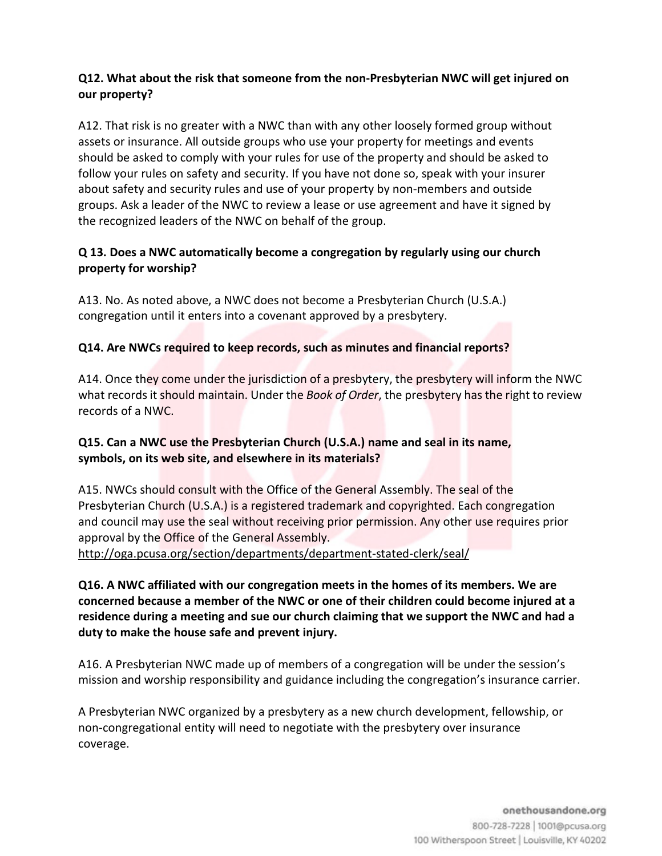### **Q12. What about the risk that someone from the non-Presbyterian NWC will get injured on our property?**

A12. That risk is no greater with a NWC than with any other loosely formed group without assets or insurance. All outside groups who use your property for meetings and events should be asked to comply with your rules for use of the property and should be asked to follow your rules on safety and security. If you have not done so, speak with your insurer about safety and security rules and use of your property by non-members and outside groups. Ask a leader of the NWC to review a lease or use agreement and have it signed by the recognized leaders of the NWC on behalf of the group.

# **Q 13. Does a NWC automatically become a congregation by regularly using our church property for worship?**

A13. No. As noted above, a NWC does not become a Presbyterian Church (U.S.A.) congregation until it enters into a covenant approved by a presbytery.

# **Q14. Are NWCs required to keep records, such as minutes and financial reports?**

A14. Once they come under the jurisdiction of a presbytery, the presbytery will inform the NWC what records it should maintain. Under the *Book of Order*, the presbytery has the right to review records of a NWC.

# **Q15. Can a NWC use the Presbyterian Church (U.S.A.) name and seal in its name, symbols, on its web site, and elsewhere in its materials?**

A15. NWCs should consult with the Office of the General Assembly. The seal of the Presbyterian Church (U.S.A.) is a registered trademark and copyrighted. Each congregation and council may use the seal without receiving prior permission. Any other use requires prior approval by the Office of the General Assembly.

<http://oga.pcusa.org/section/departments/department-stated-clerk/seal/>

**Q16. A NWC affiliated with our congregation meets in the homes of its members. We are concerned because a member of the NWC or one of their children could become injured at a residence during a meeting and sue our church claiming that we support the NWC and had a duty to make the house safe and prevent injury.**

A16. A Presbyterian NWC made up of members of a congregation will be under the session's mission and worship responsibility and guidance including the congregation's insurance carrier.

A Presbyterian NWC organized by a presbytery as a new church development, fellowship, or non-congregational entity will need to negotiate with the presbytery over insurance coverage.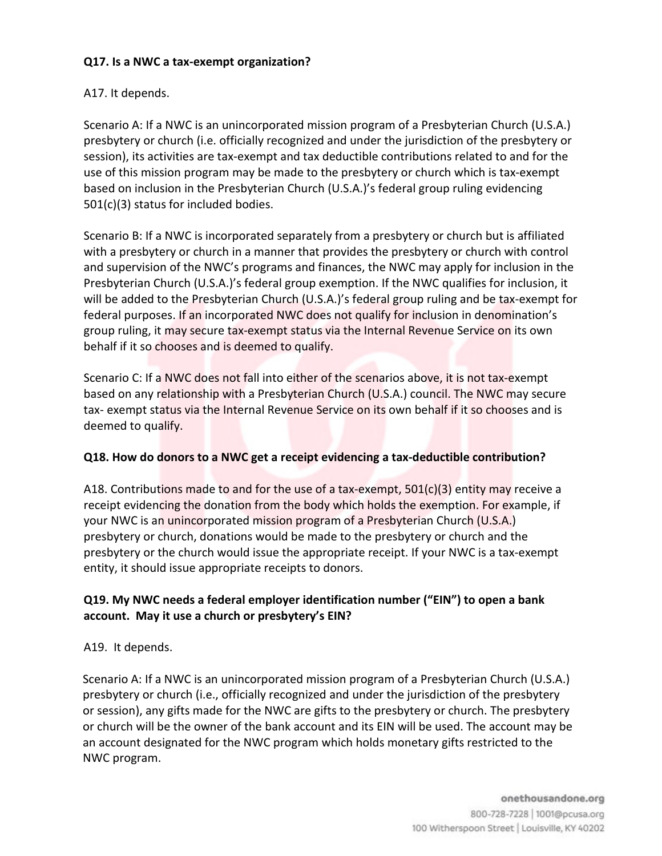### **Q17. Is a NWC a tax-exempt organization?**

### A17. It depends.

Scenario A: If a NWC is an unincorporated mission program of a Presbyterian Church (U.S.A.) presbytery or church (i.e. officially recognized and under the jurisdiction of the presbytery or session), its activities are tax-exempt and tax deductible contributions related to and for the use of this mission program may be made to the presbytery or church which is tax-exempt based on inclusion in the Presbyterian Church (U.S.A.)'s federal group ruling evidencing 501(c)(3) status for included bodies.

Scenario B: If a NWC is incorporated separately from a presbytery or church but is affiliated with a presbytery or church in a manner that provides the presbytery or church with control and supervision of the NWC's programs and finances, the NWC may apply for inclusion in the Presbyterian Church (U.S.A.)'s federal group exemption. If the NWC qualifies for inclusion, it will be added to the Presbyterian Church (U.S.A.)'s federal group ruling and be tax-exempt for federal purposes. If an incorporated NWC does not qualify for inclusion in denomination's group ruling, it may secure tax-exempt status via the Internal Revenue Service on its own behalf if it so chooses and is deemed to qualify.

Scenario C: If a NWC does not fall into either of the scenarios above, it is not tax-exempt based on any relationship with a Presbyterian Church (U.S.A.) council. The NWC may secure tax- exempt status via the Internal Revenue Service on its own behalf if it so chooses and is deemed to qualify.

#### **Q18. How do donors to a NWC get a receipt evidencing a tax-deductible contribution?**

A18. Contributions made to and for the use of a tax-exempt,  $501(c)(3)$  entity may receive a receipt evidencing the donation from the body which holds the exemption. For example, if your NWC is an unincorporated mission program of a Presbyterian Church (U.S.A.) presbytery or church, donations would be made to the presbytery or church and the presbytery or the church would issue the appropriate receipt. If your NWC is a tax-exempt entity, it should issue appropriate receipts to donors.

# **Q19. My NWC needs a federal employer identification number ("EIN") to open a bank account. May it use a church or presbytery's EIN?**

### A19. It depends.

Scenario A: If a NWC is an unincorporated mission program of a Presbyterian Church (U.S.A.) presbytery or church (i.e., officially recognized and under the jurisdiction of the presbytery or session), any gifts made for the NWC are gifts to the presbytery or church. The presbytery or church will be the owner of the bank account and its EIN will be used. The account may be an account designated for the NWC program which holds monetary gifts restricted to the NWC program.